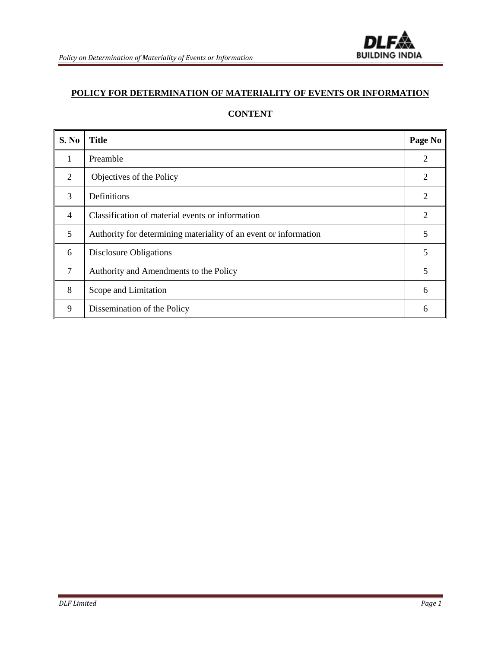

# **POLICY FOR DETERMINATION OF MATERIALITY OF EVENTS OR INFORMATION**

# **CONTENT**

| S. No  | <b>Title</b>                                                     | Page No        |
|--------|------------------------------------------------------------------|----------------|
| 1      | Preamble                                                         | $\overline{2}$ |
| 2      | Objectives of the Policy                                         | $\overline{2}$ |
| 3      | Definitions                                                      | 2              |
| 4      | Classification of material events or information                 | 2              |
| 5      | Authority for determining materiality of an event or information | 5              |
| 6      | Disclosure Obligations                                           | 5              |
| $\tau$ | Authority and Amendments to the Policy                           | 5              |
| 8      | Scope and Limitation                                             | 6              |
| 9      | Dissemination of the Policy                                      | 6              |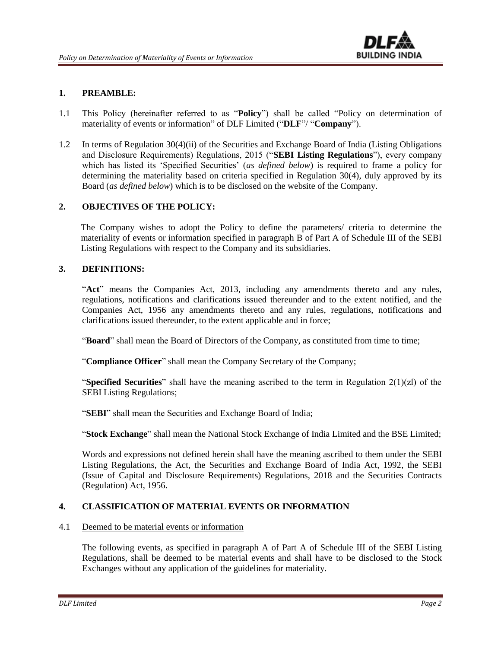

# **1. PREAMBLE:**

- 1.1 This Policy (hereinafter referred to as "**Policy**") shall be called "Policy on determination of materiality of events or information" of DLF Limited ("**DLF**"/ "**Company**").
- 1.2 In terms of Regulation 30(4)(ii) of the Securities and Exchange Board of India (Listing Obligations and Disclosure Requirements) Regulations, 2015 ("**SEBI Listing Regulations**"), every company which has listed its 'Specified Securities' (*as defined below*) is required to frame a policy for determining the materiality based on criteria specified in Regulation 30(4), duly approved by its Board (*as defined below*) which is to be disclosed on the website of the Company.

# **2. OBJECTIVES OF THE POLICY:**

The Company wishes to adopt the Policy to define the parameters/ criteria to determine the materiality of events or information specified in paragraph B of Part A of Schedule III of the SEBI Listing Regulations with respect to the Company and its subsidiaries.

#### **3. DEFINITIONS:**

"**Act**" means the Companies Act, 2013, including any amendments thereto and any rules, regulations, notifications and clarifications issued thereunder and to the extent notified, and the Companies Act, 1956 any amendments thereto and any rules, regulations, notifications and clarifications issued thereunder, to the extent applicable and in force;

"**Board**" shall mean the Board of Directors of the Company, as constituted from time to time;

"**Compliance Officer**" shall mean the Company Secretary of the Company;

"**Specified Securities**" shall have the meaning ascribed to the term in Regulation 2(1)(zl) of the SEBI Listing Regulations;

"**SEBI**" shall mean the Securities and Exchange Board of India;

"**Stock Exchange**" shall mean the National Stock Exchange of India Limited and the BSE Limited;

Words and expressions not defined herein shall have the meaning ascribed to them under the SEBI Listing Regulations, the Act, the Securities and Exchange Board of India Act, 1992, the SEBI (Issue of Capital and Disclosure Requirements) Regulations, 2018 and the Securities Contracts (Regulation) Act, 1956*.* 

# **4. CLASSIFICATION OF MATERIAL EVENTS OR INFORMATION**

#### 4.1 Deemed to be material events or information

The following events, as specified in paragraph A of Part A of Schedule III of the SEBI Listing Regulations, shall be deemed to be material events and shall have to be disclosed to the Stock Exchanges without any application of the guidelines for materiality.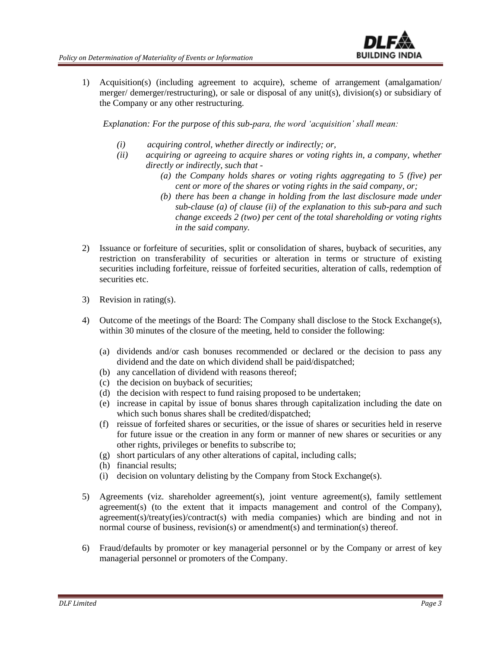

1) Acquisition(s) (including agreement to acquire), scheme of arrangement (amalgamation/ merger/ demerger/restructuring), or sale or disposal of any unit(s), division(s) or subsidiary of the Company or any other restructuring.

*Explanation: For the purpose of this sub-para, the word 'acquisition' shall mean:*

- *(i) acquiring control, whether directly or indirectly; or,*
- *(ii) acquiring or agreeing to acquire shares or voting rights in, a company, whether directly or indirectly, such that -*
	- *(a) the Company holds shares or voting rights aggregating to 5 (five) per cent or more of the shares or voting rights in the said company, or;*
	- *(b) there has been a change in holding from the last disclosure made under sub-clause (a) of clause (ii) of the explanation to this sub-para and such change exceeds 2 (two) per cent of the total shareholding or voting rights in the said company.*
- 2) Issuance or forfeiture of securities, split or consolidation of shares, buyback of securities, any restriction on transferability of securities or alteration in terms or structure of existing securities including forfeiture, reissue of forfeited securities, alteration of calls, redemption of securities etc.
- 3) Revision in rating(s).
- 4) Outcome of the meetings of the Board: The Company shall disclose to the Stock Exchange(s), within 30 minutes of the closure of the meeting, held to consider the following:
	- (a) dividends and/or cash bonuses recommended or declared or the decision to pass any dividend and the date on which dividend shall be paid/dispatched;
	- (b) any cancellation of dividend with reasons thereof;
	- (c) the decision on buyback of securities;
	- (d) the decision with respect to fund raising proposed to be undertaken;
	- (e) increase in capital by issue of bonus shares through capitalization including the date on which such bonus shares shall be credited/dispatched;
	- (f) reissue of forfeited shares or securities, or the issue of shares or securities held in reserve for future issue or the creation in any form or manner of new shares or securities or any other rights, privileges or benefits to subscribe to;
	- (g) short particulars of any other alterations of capital, including calls;
	- (h) financial results;
	- (i) decision on voluntary delisting by the Company from Stock Exchange(s).
- 5) Agreements (viz. shareholder agreement(s), joint venture agreement(s), family settlement agreement(s) (to the extent that it impacts management and control of the Company), agreement(s)/treaty(ies)/contract(s) with media companies) which are binding and not in normal course of business, revision(s) or amendment(s) and termination(s) thereof.
- 6) Fraud/defaults by promoter or key managerial personnel or by the Company or arrest of key managerial personnel or promoters of the Company.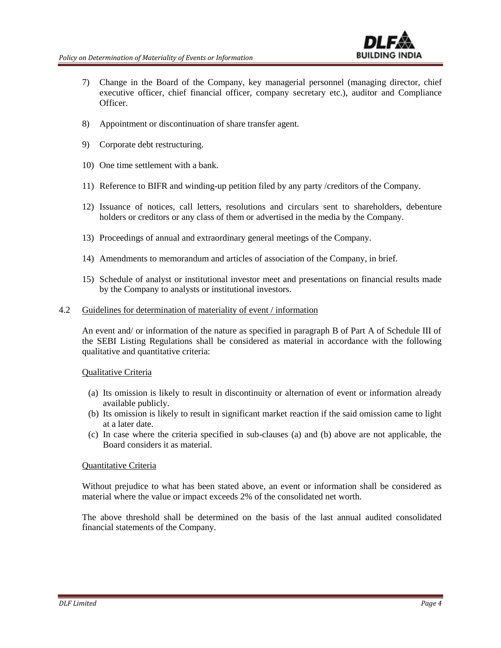

- 7) Change in the Board of the Company, key managerial personnel (managing director, chief executive officer, chief financial officer, company secretary etc.), auditor and Compliance Officer.
- 8) Appointment or discontinuation of share transfer agent.
- 9) Corporate debt restructuring.
- 10) One time settlement with a bank.
- 11) Reference to BIFR and winding-up petition filed by any party /creditors of the Company.
- 12) Issuance of notices, call letters, resolutions and circulars sent to shareholders, debenture holders or creditors or any class of them or advertised in the media by the Company.
- 13) Proceedings of annual and extraordinary general meetings of the Company.
- 14) Amendments to memorandum and articles of association of the Company, in brief.
- 15) Schedule of analyst or institutional investor meet and presentations on financial results made by the Company to analysts or institutional investors.
- 4.2 Guidelines for determination of materiality of event / information

An event and/ or information of the nature as specified in paragraph B of Part A of Schedule III of the SEBI Listing Regulations shall be considered as material in accordance with the following qualitative and quantitative criteria:

#### Qualitative Criteria

- (a) Its omission is likely to result in discontinuity or alternation of event or information already available publicly.
- (b) Its omission is likely to result in significant market reaction if the said omission came to light at a later date.
- (c) In case where the criteria specified in sub-clauses (a) and (b) above are not applicable, the Board considers it as material.

#### Quantitative Criteria

Without prejudice to what has been stated above, an event or information shall be considered as material where the value or impact exceeds 2% of the consolidated net worth.

The above threshold shall be determined on the basis of the last annual audited consolidated financial statements of the Company.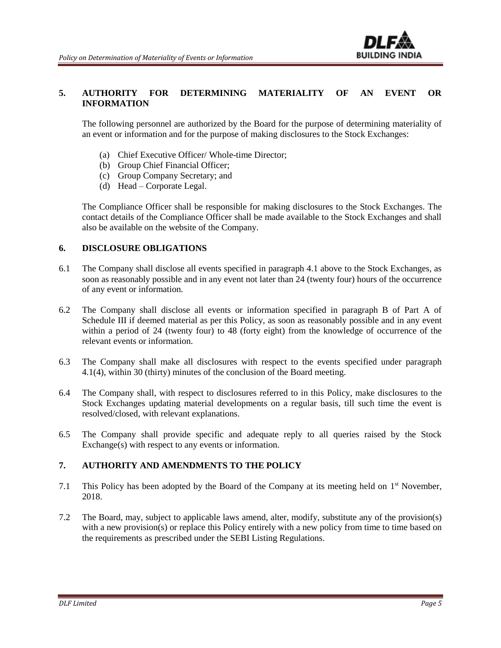# **5. AUTHORITY FOR DETERMINING MATERIALITY OF AN EVENT OR INFORMATION**

The following personnel are authorized by the Board for the purpose of determining materiality of an event or information and for the purpose of making disclosures to the Stock Exchanges:

**BUILDING INDIA** 

- (a) Chief Executive Officer/ Whole-time Director;
- (b) Group Chief Financial Officer;
- (c) Group Company Secretary; and
- (d) Head Corporate Legal.

The Compliance Officer shall be responsible for making disclosures to the Stock Exchanges. The contact details of the Compliance Officer shall be made available to the Stock Exchanges and shall also be available on the website of the Company.

# **6. DISCLOSURE OBLIGATIONS**

- 6.1 The Company shall disclose all events specified in paragraph 4.1 above to the Stock Exchanges, as soon as reasonably possible and in any event not later than 24 (twenty four) hours of the occurrence of any event or information.
- 6.2 The Company shall disclose all events or information specified in paragraph B of Part A of Schedule III if deemed material as per this Policy, as soon as reasonably possible and in any event within a period of 24 (twenty four) to 48 (forty eight) from the knowledge of occurrence of the relevant events or information.
- 6.3 The Company shall make all disclosures with respect to the events specified under paragraph 4.1(4), within 30 (thirty) minutes of the conclusion of the Board meeting.
- 6.4 The Company shall, with respect to disclosures referred to in this Policy, make disclosures to the Stock Exchanges updating material developments on a regular basis, till such time the event is resolved/closed, with relevant explanations.
- 6.5 The Company shall provide specific and adequate reply to all queries raised by the Stock Exchange(s) with respect to any events or information.

# **7. AUTHORITY AND AMENDMENTS TO THE POLICY**

- 7.1 This Policy has been adopted by the Board of the Company at its meeting held on 1<sup>st</sup> November, 2018.
- 7.2 The Board, may, subject to applicable laws amend, alter, modify, substitute any of the provision(s) with a new provision(s) or replace this Policy entirely with a new policy from time to time based on the requirements as prescribed under the SEBI Listing Regulations.